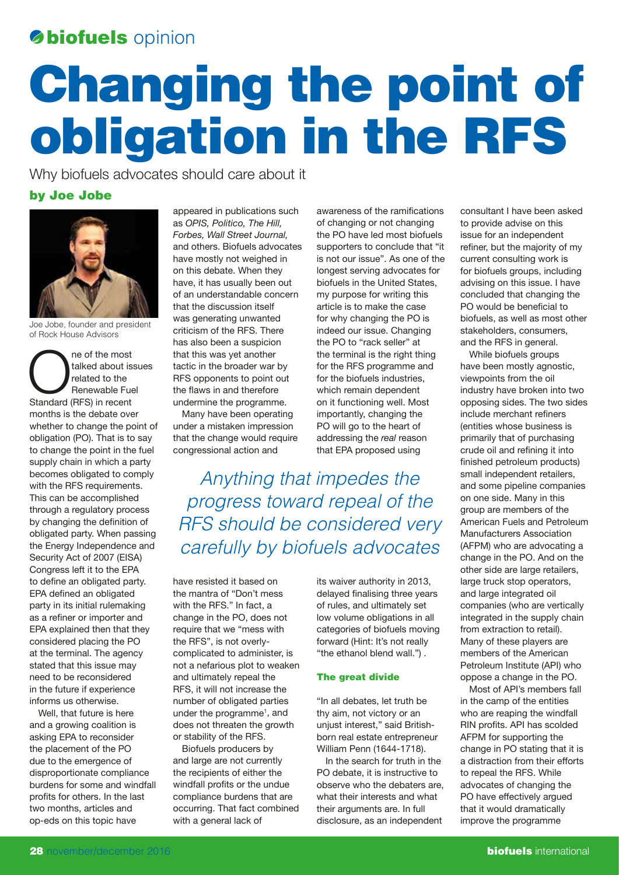# **biofuels** opinion

# Changing the point of obligation in the RFS

Why biofuels advocates should care about it

## by Joe Jobe



Joe Jobe, founder and president of Rock House Advisors

The of the most<br>
talked about is:<br>
related to the<br>
Renewable Fue<br>
Standard (RFS) in recent talked about issues related to the Renewable Fuel months is the debate over whether to change the point of obligation (PO). That is to say to change the point in the fuel supply chain in which a party becomes obligated to comply with the RFS requirements. This can be accomplished through a regulatory process by changing the definition of obligated party. When passing the Energy Independence and Security Act of 2007 (EISA) Congress left it to the EPA to define an obligated party. EPA defined an obligated party in its initial rulemaking as a refiner or importer and EPA explained then that they considered placing the PO at the terminal. The agency stated that this issue may need to be reconsidered in the future if experience informs us otherwise.

Well, that future is here and a growing coalition is asking EPA to reconsider the placement of the PO due to the emergence of disproportionate compliance burdens for some and windfall profits for others. In the last two months, articles and op-eds on this topic have

appeared in publications such as *OPIS, Politico, The Hill, Forbes, Wall Street Journal,*  and others. Biofuels advocates have mostly not weighed in on this debate. When they have, it has usually been out of an understandable concern that the discussion itself was generating unwanted criticism of the RFS. There has also been a suspicion that this was yet another tactic in the broader war by RFS opponents to point out the flaws in and therefore undermine the programme.

Many have been operating under a mistaken impression that the change would require congressional action and

awareness of the ramifications of changing or not changing the PO have led most biofuels supporters to conclude that "it is not our issue". As one of the longest serving advocates for biofuels in the United States, my purpose for writing this article is to make the case for why changing the PO is indeed our issue. Changing the PO to "rack seller" at the terminal is the right thing for the RFS programme and for the biofuels industries, which remain dependent on it functioning well. Most importantly, changing the PO will go to the heart of addressing the *real* reason that EPA proposed using

Anything that impedes the progress toward repeal of the RFS should be considered very carefully by biofuels advocates

have resisted it based on the mantra of "Don't mess with the RFS." In fact, a change in the PO, does not require that we "mess with the RFS", is not overlycomplicated to administer, is not a nefarious plot to weaken and ultimately repeal the RFS, it will not increase the number of obligated parties under the programme<sup>1</sup>, and does not threaten the growth or stability of the RFS.

Biofuels producers by and large are not currently the recipients of either the windfall profits or the undue compliance burdens that are occurring. That fact combined with a general lack of

its waiver authority in 2013, delayed finalising three years of rules, and ultimately set low volume obligations in all categories of biofuels moving forward (Hint: It's not really "the ethanol blend wall.") .

## The great divide

"In all debates, let truth be thy aim, not victory or an unjust interest," said Britishborn real estate entrepreneur William Penn (1644-1718).

In the search for truth in the PO debate, it is instructive to observe who the debaters are, what their interests and what their arguments are. In full disclosure, as an independent

consultant I have been asked to provide advise on this issue for an independent refiner, but the majority of my current consulting work is for biofuels groups, including advising on this issue. I have concluded that changing the PO would be beneficial to biofuels, as well as most other stakeholders, consumers, and the RFS in general.

While biofuels groups have been mostly agnostic, viewpoints from the oil industry have broken into two opposing sides. The two sides include merchant refiners (entities whose business is primarily that of purchasing crude oil and refining it into finished petroleum products) small independent retailers, and some pipeline companies on one side. Many in this group are members of the American Fuels and Petroleum Manufacturers Association (AFPM) who are advocating a change in the PO. And on the other side are large retailers, large truck stop operators, and large integrated oil companies (who are vertically integrated in the supply chain from extraction to retail). Many of these players are members of the American Petroleum Institute (API) who oppose a change in the PO.

Most of API's members fall in the camp of the entities who are reaping the windfall RIN profits. API has scolded AFPM for supporting the change in PO stating that it is a distraction from their efforts to repeal the RFS. While advocates of changing the PO have effectively argued that it would dramatically improve the programme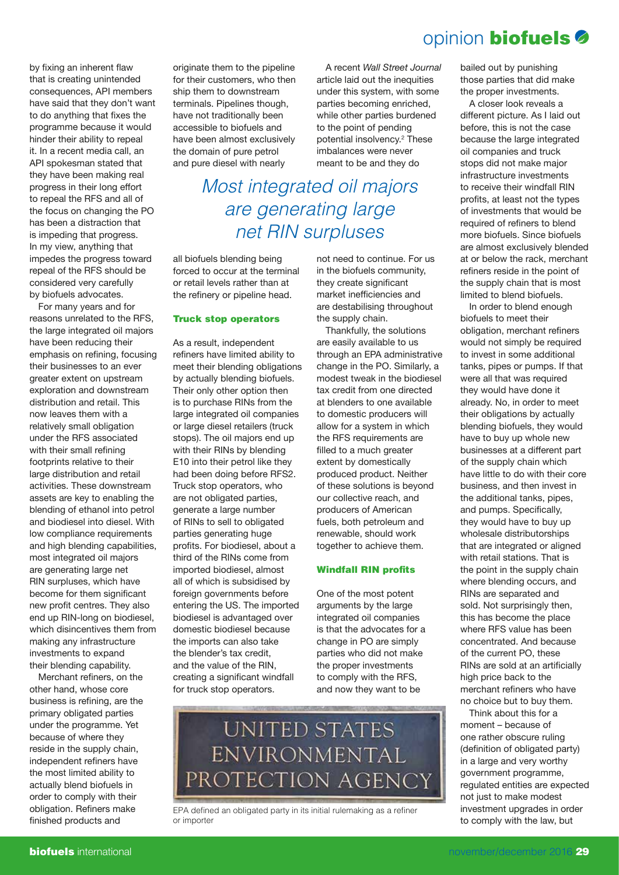# opinion biofuels

by fixing an inherent flaw that is creating unintended consequences, API members have said that they don't want to do anything that fixes the programme because it would hinder their ability to repeal it. In a recent media call, an API spokesman stated that they have been making real progress in their long effort to repeal the RFS and all of the focus on changing the PO has been a distraction that is impeding that progress. In my view, anything that impedes the progress toward repeal of the RFS should be considered very carefully by biofuels advocates.

For many years and for reasons unrelated to the RFS, the large integrated oil majors have been reducing their emphasis on refining, focusing their businesses to an ever greater extent on upstream exploration and downstream distribution and retail. This now leaves them with a relatively small obligation under the RFS associated with their small refining footprints relative to their large distribution and retail activities. These downstream assets are key to enabling the blending of ethanol into petrol and biodiesel into diesel. With low compliance requirements and high blending capabilities, most integrated oil majors are generating large net RIN surpluses, which have become for them significant new profit centres. They also end up RIN-long on biodiesel, which disincentives them from making any infrastructure investments to expand their blending capability.

Merchant refiners, on the other hand, whose core business is refining, are the primary obligated parties under the programme. Yet because of where they reside in the supply chain, independent refiners have the most limited ability to actually blend biofuels in order to comply with their obligation. Refiners make finished products and

originate them to the pipeline for their customers, who then ship them to downstream terminals. Pipelines though, have not traditionally been accessible to biofuels and have been almost exclusively the domain of pure petrol and pure diesel with nearly

A recent *Wall Street Journal*  article laid out the inequities under this system, with some parties becoming enriched, while other parties burdened to the point of pending potential insolvency.2 These imbalances were never meant to be and they do

Most integrated oil majors are generating large net RIN surpluses

all biofuels blending being forced to occur at the terminal or retail levels rather than at the refinery or pipeline head.

#### Truck stop operators

As a result, independent refiners have limited ability to meet their blending obligations by actually blending biofuels. Their only other option then is to purchase RINs from the large integrated oil companies or large diesel retailers (truck stops). The oil majors end up with their RINs by blending E10 into their petrol like they had been doing before RFS2. Truck stop operators, who are not obligated parties, generate a large number of RINs to sell to obligated parties generating huge profits. For biodiesel, about a third of the RINs come from imported biodiesel, almost all of which is subsidised by foreign governments before entering the US. The imported biodiesel is advantaged over domestic biodiesel because the imports can also take the blender's tax credit, and the value of the RIN, creating a significant windfall for truck stop operators.

not need to continue. For us in the biofuels community, they create significant market inefficiencies and are destabilising throughout the supply chain.

Thankfully, the solutions are easily available to us through an EPA administrative change in the PO. Similarly, a modest tweak in the biodiesel tax credit from one directed at blenders to one available to domestic producers will allow for a system in which the RFS requirements are filled to a much greater extent by domestically produced product. Neither of these solutions is beyond our collective reach, and producers of American fuels, both petroleum and renewable, should work together to achieve them.

#### Windfall RIN profits

One of the most potent arguments by the large integrated oil companies is that the advocates for a change in PO are simply parties who did not make the proper investments to comply with the RFS, and now they want to be

**UNITED STATES ENVIRONMENTAL** PROTECTION AGENCY

EPA defined an obligated party in its initial rulemaking as a refiner or importer

bailed out by punishing those parties that did make the proper investments.

A closer look reveals a different picture. As I laid out before, this is not the case because the large integrated oil companies and truck stops did not make major infrastructure investments to receive their windfall RIN profits, at least not the types of investments that would be required of refiners to blend more biofuels. Since biofuels are almost exclusively blended at or below the rack, merchant refiners reside in the point of the supply chain that is most limited to blend biofuels.

In order to blend enough biofuels to meet their obligation, merchant refiners would not simply be required to invest in some additional tanks, pipes or pumps. If that were all that was required they would have done it already. No, in order to meet their obligations by actually blending biofuels, they would have to buy up whole new businesses at a different part of the supply chain which have little to do with their core business, and then invest in the additional tanks, pipes, and pumps. Specifically, they would have to buy up wholesale distributorships that are integrated or aligned with retail stations. That is the point in the supply chain where blending occurs, and RINs are separated and sold. Not surprisingly then, this has become the place where RFS value has been concentrated. And because of the current PO, these RINs are sold at an artificially high price back to the merchant refiners who have no choice but to buy them.

Think about this for a moment – because of one rather obscure ruling (definition of obligated party) in a large and very worthy government programme, regulated entities are expected not just to make modest investment upgrades in order to comply with the law, but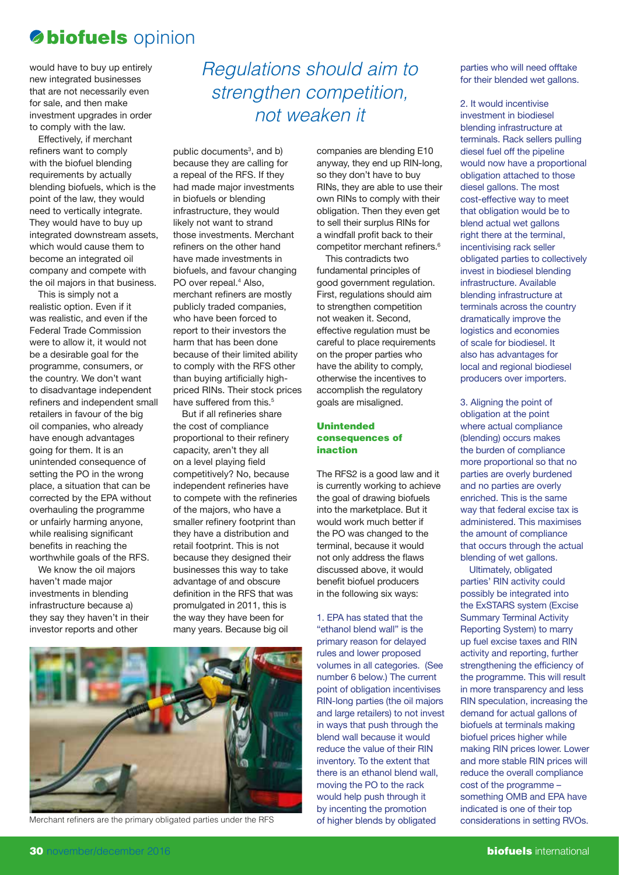## **biofuels** opinion

would have to buy up entirely new integrated businesses that are not necessarily even for sale, and then make investment upgrades in order to comply with the law.

Effectively, if merchant refiners want to comply with the biofuel blending requirements by actually blending biofuels, which is the point of the law, they would need to vertically integrate. They would have to buy up integrated downstream assets, which would cause them to become an integrated oil company and compete with the oil majors in that business.

This is simply not a realistic option. Even if it was realistic, and even if the Federal Trade Commission were to allow it, it would not be a desirable goal for the programme, consumers, or the country. We don't want to disadvantage independent refiners and independent small retailers in favour of the big oil companies, who already have enough advantages going for them. It is an unintended consequence of setting the PO in the wrong place, a situation that can be corrected by the EPA without overhauling the programme or unfairly harming anyone, while realising significant benefits in reaching the worthwhile goals of the RFS.

We know the oil majors haven't made major investments in blending infrastructure because a) they say they haven't in their investor reports and other

## Regulations should aim to strengthen competition, not weaken it

public documents $3$ , and b) because they are calling for a repeal of the RFS. If they had made major investments in biofuels or blending infrastructure, they would likely not want to strand those investments. Merchant refiners on the other hand have made investments in biofuels, and favour changing PO over repeal.<sup>4</sup> Also, merchant refiners are mostly publicly traded companies, who have been forced to report to their investors the harm that has been done because of their limited ability to comply with the RFS other than buying artificially highpriced RINs. Their stock prices have suffered from this.<sup>5</sup>

But if all refineries share the cost of compliance proportional to their refinery capacity, aren't they all on a level playing field competitively? No, because independent refineries have to compete with the refineries of the majors, who have a smaller refinery footprint than they have a distribution and retail footprint. This is not because they designed their businesses this way to take advantage of and obscure definition in the RFS that was promulgated in 2011, this is the way they have been for many years. Because big oil



Merchant refiners are the primary obligated parties under the RFS

companies are blending E10 anyway, they end up RIN-long, so they don't have to buy RINs, they are able to use their own RINs to comply with their obligation. Then they even get to sell their surplus RINs for a windfall profit back to their competitor merchant refiners.<sup>6</sup>

This contradicts two fundamental principles of good government regulation. First, regulations should aim to strengthen competition not weaken it. Second, effective regulation must be careful to place requirements on the proper parties who have the ability to comply, otherwise the incentives to accomplish the regulatory goals are misaligned.

### Unintended consequences of inaction

The RFS2 is a good law and it is currently working to achieve the goal of drawing biofuels into the marketplace. But it would work much better if the PO was changed to the terminal, because it would not only address the flaws discussed above, it would benefit biofuel producers in the following six ways:

1. EPA has stated that the "ethanol blend wall" is the primary reason for delayed rules and lower proposed volumes in all categories. (See number 6 below.) The current point of obligation incentivises RIN-long parties (the oil majors and large retailers) to not invest in ways that push through the blend wall because it would reduce the value of their RIN inventory. To the extent that there is an ethanol blend wall, moving the PO to the rack would help push through it by incenting the promotion of higher blends by obligated

parties who will need offtake for their blended wet gallons.

2. It would incentivise investment in biodiesel blending infrastructure at terminals. Rack sellers pulling diesel fuel off the pipeline would now have a proportional obligation attached to those diesel gallons. The most cost-effective way to meet that obligation would be to blend actual wet gallons right there at the terminal, incentivising rack seller obligated parties to collectively invest in biodiesel blending infrastructure. Available blending infrastructure at terminals across the country dramatically improve the logistics and economies of scale for biodiesel. It also has advantages for local and regional biodiesel producers over importers.

3. Aligning the point of obligation at the point where actual compliance (blending) occurs makes the burden of compliance more proportional so that no parties are overly burdened and no parties are overly enriched. This is the same way that federal excise tax is administered. This maximises the amount of compliance that occurs through the actual blending of wet gallons.

Ultimately, obligated parties' RIN activity could possibly be integrated into the ExSTARS system (Excise Summary Terminal Activity Reporting System) to marry up fuel excise taxes and RIN activity and reporting, further strengthening the efficiency of the programme. This will result in more transparency and less RIN speculation, increasing the demand for actual gallons of biofuels at terminals making biofuel prices higher while making RIN prices lower. Lower and more stable RIN prices will reduce the overall compliance cost of the programme – something OMB and EPA have indicated is one of their top considerations in setting RVOs.